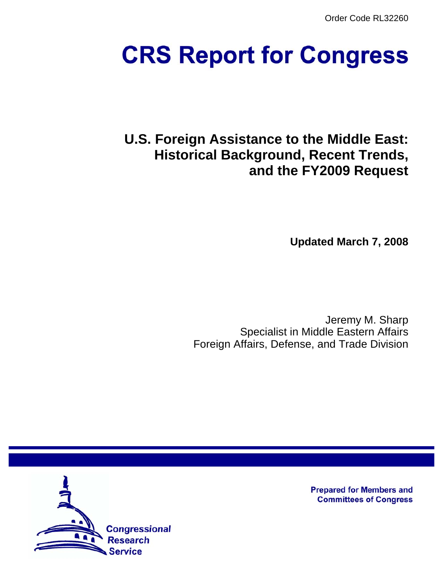Order Code RL32260

# **CRS Report for Congress**

**U.S. Foreign Assistance to the Middle East: Historical Background, Recent Trends, and the FY2009 Request**

**Updated March 7, 2008**

Jeremy M. Sharp Specialist in Middle Eastern Affairs Foreign Affairs, Defense, and Trade Division



**Prepared for Members and Committees of Congress**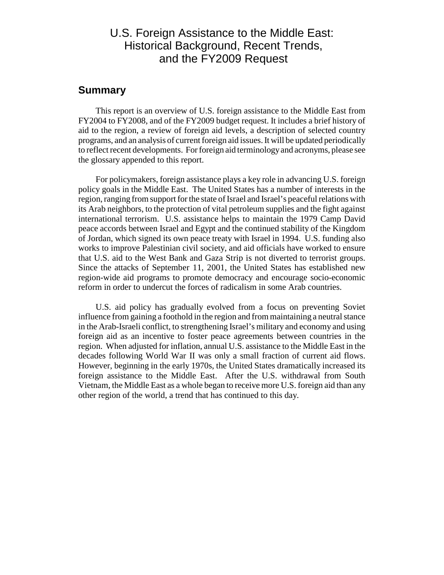## U.S. Foreign Assistance to the Middle East: Historical Background, Recent Trends, and the FY2009 Request

#### **Summary**

This report is an overview of U.S. foreign assistance to the Middle East from FY2004 to FY2008, and of the FY2009 budget request. It includes a brief history of aid to the region, a review of foreign aid levels, a description of selected country programs, and an analysis of current foreign aid issues. It will be updated periodically to reflect recent developments. For foreign aid terminology and acronyms, please see the glossary appended to this report.

For policymakers, foreign assistance plays a key role in advancing U.S. foreign policy goals in the Middle East. The United States has a number of interests in the region, ranging from support for the state of Israel and Israel's peaceful relations with its Arab neighbors, to the protection of vital petroleum supplies and the fight against international terrorism. U.S. assistance helps to maintain the 1979 Camp David peace accords between Israel and Egypt and the continued stability of the Kingdom of Jordan, which signed its own peace treaty with Israel in 1994. U.S. funding also works to improve Palestinian civil society, and aid officials have worked to ensure that U.S. aid to the West Bank and Gaza Strip is not diverted to terrorist groups. Since the attacks of September 11, 2001, the United States has established new region-wide aid programs to promote democracy and encourage socio-economic reform in order to undercut the forces of radicalism in some Arab countries.

U.S. aid policy has gradually evolved from a focus on preventing Soviet influence from gaining a foothold in the region and from maintaining a neutral stance in the Arab-Israeli conflict, to strengthening Israel's military and economy and using foreign aid as an incentive to foster peace agreements between countries in the region. When adjusted for inflation, annual U.S. assistance to the Middle East in the decades following World War II was only a small fraction of current aid flows. However, beginning in the early 1970s, the United States dramatically increased its foreign assistance to the Middle East. After the U.S. withdrawal from South Vietnam, the Middle East as a whole began to receive more U.S. foreign aid than any other region of the world, a trend that has continued to this day.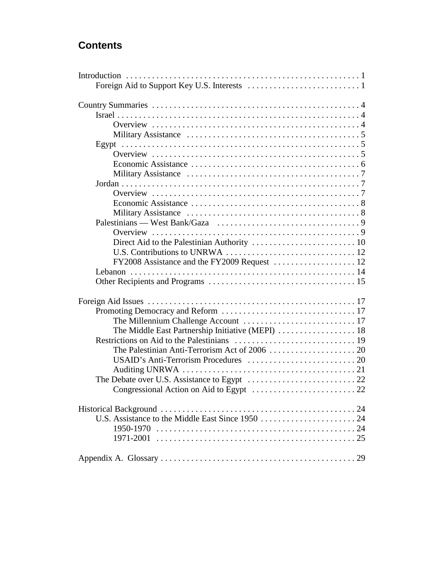## **Contents**

| Overview $\dots \dots \dots \dots \dots \dots \dots \dots \dots \dots \dots \dots \dots \dots \dots \dots$ |
|------------------------------------------------------------------------------------------------------------|
|                                                                                                            |
|                                                                                                            |
|                                                                                                            |
|                                                                                                            |
|                                                                                                            |
|                                                                                                            |
|                                                                                                            |
|                                                                                                            |
|                                                                                                            |
|                                                                                                            |
|                                                                                                            |
|                                                                                                            |
|                                                                                                            |
|                                                                                                            |
|                                                                                                            |
|                                                                                                            |
|                                                                                                            |
| The Middle East Partnership Initiative (MEPI)  18                                                          |
|                                                                                                            |
|                                                                                                            |
|                                                                                                            |
|                                                                                                            |
|                                                                                                            |
|                                                                                                            |
|                                                                                                            |
|                                                                                                            |
|                                                                                                            |
|                                                                                                            |
|                                                                                                            |
|                                                                                                            |
|                                                                                                            |
|                                                                                                            |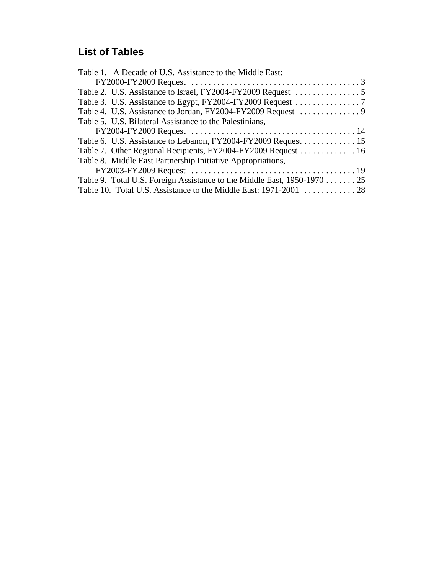## **List of Tables**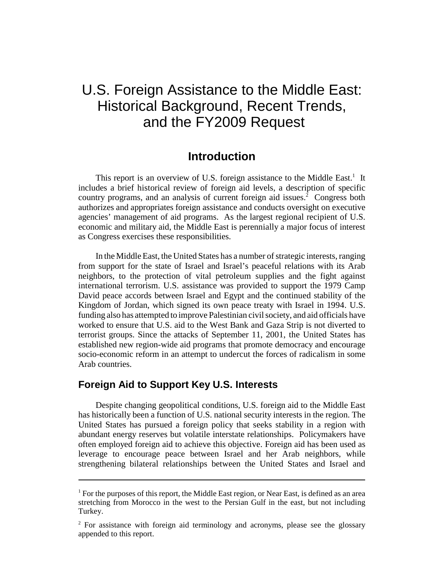## U.S. Foreign Assistance to the Middle East: Historical Background, Recent Trends, and the FY2009 Request

## **Introduction**

This report is an overview of U.S. foreign assistance to the Middle East.<sup>1</sup> It includes a brief historical review of foreign aid levels, a description of specific country programs, and an analysis of current foreign aid issues.<sup>2</sup> Congress both authorizes and appropriates foreign assistance and conducts oversight on executive agencies' management of aid programs. As the largest regional recipient of U.S. economic and military aid, the Middle East is perennially a major focus of interest as Congress exercises these responsibilities.

In the Middle East, the United States has a number of strategic interests, ranging from support for the state of Israel and Israel's peaceful relations with its Arab neighbors, to the protection of vital petroleum supplies and the fight against international terrorism. U.S. assistance was provided to support the 1979 Camp David peace accords between Israel and Egypt and the continued stability of the Kingdom of Jordan, which signed its own peace treaty with Israel in 1994. U.S. funding also has attempted to improve Palestinian civil society, and aid officials have worked to ensure that U.S. aid to the West Bank and Gaza Strip is not diverted to terrorist groups. Since the attacks of September 11, 2001, the United States has established new region-wide aid programs that promote democracy and encourage socio-economic reform in an attempt to undercut the forces of radicalism in some Arab countries.

#### **Foreign Aid to Support Key U.S. Interests**

Despite changing geopolitical conditions, U.S. foreign aid to the Middle East has historically been a function of U.S. national security interests in the region. The United States has pursued a foreign policy that seeks stability in a region with abundant energy reserves but volatile interstate relationships. Policymakers have often employed foreign aid to achieve this objective. Foreign aid has been used as leverage to encourage peace between Israel and her Arab neighbors, while strengthening bilateral relationships between the United States and Israel and

<sup>&</sup>lt;sup>1</sup> For the purposes of this report, the Middle East region, or Near East, is defined as an area stretching from Morocco in the west to the Persian Gulf in the east, but not including Turkey.

<sup>&</sup>lt;sup>2</sup> For assistance with foreign aid terminology and acronyms, please see the glossary appended to this report.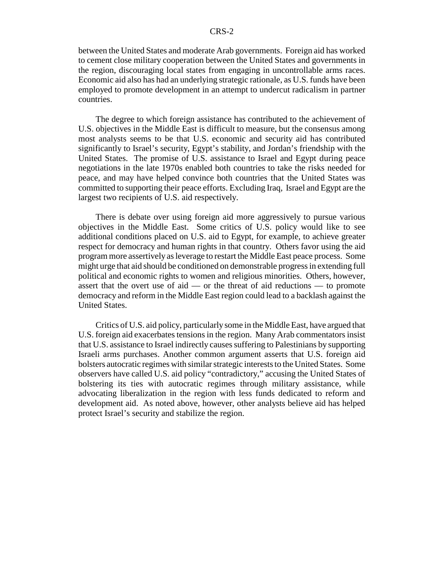between the United States and moderate Arab governments. Foreign aid has worked to cement close military cooperation between the United States and governments in the region, discouraging local states from engaging in uncontrollable arms races. Economic aid also has had an underlying strategic rationale, as U.S. funds have been employed to promote development in an attempt to undercut radicalism in partner countries.

The degree to which foreign assistance has contributed to the achievement of U.S. objectives in the Middle East is difficult to measure, but the consensus among most analysts seems to be that U.S. economic and security aid has contributed significantly to Israel's security, Egypt's stability, and Jordan's friendship with the United States. The promise of U.S. assistance to Israel and Egypt during peace negotiations in the late 1970s enabled both countries to take the risks needed for peace, and may have helped convince both countries that the United States was committed to supporting their peace efforts. Excluding Iraq, Israel and Egypt are the largest two recipients of U.S. aid respectively.

There is debate over using foreign aid more aggressively to pursue various objectives in the Middle East. Some critics of U.S. policy would like to see additional conditions placed on U.S. aid to Egypt, for example, to achieve greater respect for democracy and human rights in that country. Others favor using the aid program more assertively as leverage to restart the Middle East peace process. Some might urge that aid should be conditioned on demonstrable progress in extending full political and economic rights to women and religious minorities. Others, however, assert that the overt use of aid — or the threat of aid reductions — to promote democracy and reform in the Middle East region could lead to a backlash against the United States.

Critics of U.S. aid policy, particularly some in the Middle East, have argued that U.S. foreign aid exacerbates tensions in the region. Many Arab commentators insist that U.S. assistance to Israel indirectly causes suffering to Palestinians by supporting Israeli arms purchases. Another common argument asserts that U.S. foreign aid bolsters autocratic regimes with similar strategic interests to the United States. Some observers have called U.S. aid policy "contradictory," accusing the United States of bolstering its ties with autocratic regimes through military assistance, while advocating liberalization in the region with less funds dedicated to reform and development aid. As noted above, however, other analysts believe aid has helped protect Israel's security and stabilize the region.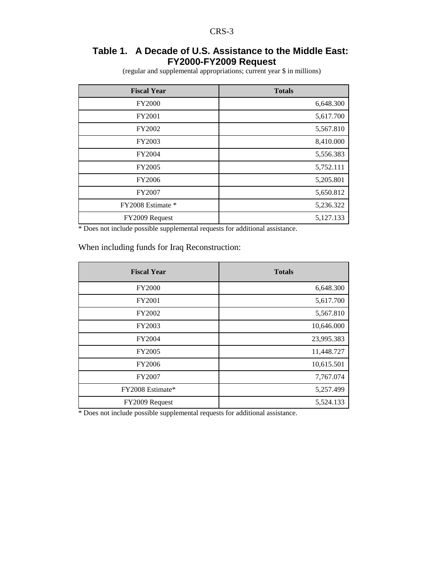#### **Table 1. A Decade of U.S. Assistance to the Middle East: FY2000-FY2009 Request**

(regular and supplemental appropriations; current year \$ in millions)

| <b>Fiscal Year</b> | <b>Totals</b> |
|--------------------|---------------|
| <b>FY2000</b>      | 6,648.300     |
| <b>FY2001</b>      | 5,617.700     |
| FY2002             | 5,567.810     |
| FY2003             | 8,410.000     |
| FY2004             | 5,556.383     |
| FY2005             | 5,752.111     |
| FY2006             | 5,205.801     |
| FY2007             | 5,650.812     |
| FY2008 Estimate *  | 5,236.322     |
| FY2009 Request     | 5,127.133     |

\* Does not include possible supplemental requests for additional assistance.

When including funds for Iraq Reconstruction:

| <b>Fiscal Year</b> | <b>Totals</b> |
|--------------------|---------------|
| <b>FY2000</b>      | 6,648.300     |
| <b>FY2001</b>      | 5,617.700     |
| FY2002             | 5,567.810     |
| FY2003             | 10,646.000    |
| FY2004             | 23,995.383    |
| FY2005             | 11,448.727    |
| FY2006             | 10,615.501    |
| FY2007             | 7,767.074     |
| FY2008 Estimate*   | 5,257.499     |
| FY2009 Request     | 5,524.133     |

\* Does not include possible supplemental requests for additional assistance.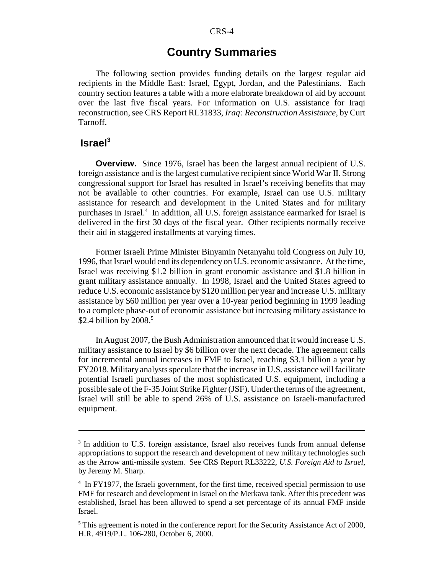## **Country Summaries**

The following section provides funding details on the largest regular aid recipients in the Middle East: Israel, Egypt, Jordan, and the Palestinians. Each country section features a table with a more elaborate breakdown of aid by account over the last five fiscal years. For information on U.S. assistance for Iraqi reconstruction, see CRS Report RL31833, *Iraq: Reconstruction Assistance*, by Curt Tarnoff.

#### **Israel<sup>3</sup>**

**Overview.** Since 1976, Israel has been the largest annual recipient of U.S. foreign assistance and is the largest cumulative recipient since World War II. Strong congressional support for Israel has resulted in Israel's receiving benefits that may not be available to other countries. For example, Israel can use U.S. military assistance for research and development in the United States and for military purchases in Israel.<sup>4</sup> In addition, all U.S. foreign assistance earmarked for Israel is delivered in the first 30 days of the fiscal year. Other recipients normally receive their aid in staggered installments at varying times.

Former Israeli Prime Minister Binyamin Netanyahu told Congress on July 10, 1996, that Israel would end its dependency on U.S. economic assistance. At the time, Israel was receiving \$1.2 billion in grant economic assistance and \$1.8 billion in grant military assistance annually. In 1998, Israel and the United States agreed to reduce U.S. economic assistance by \$120 million per year and increase U.S. military assistance by \$60 million per year over a 10-year period beginning in 1999 leading to a complete phase-out of economic assistance but increasing military assistance to \$2.4 billion by 2008.<sup>5</sup>

In August 2007, the Bush Administration announced that it would increase U.S. military assistance to Israel by \$6 billion over the next decade. The agreement calls for incremental annual increases in FMF to Israel, reaching \$3.1 billion a year by FY2018. Military analysts speculate that the increase in U.S. assistance will facilitate potential Israeli purchases of the most sophisticated U.S. equipment, including a possible sale of the F-35 Joint Strike Fighter (JSF). Under the terms of the agreement, Israel will still be able to spend 26% of U.S. assistance on Israeli-manufactured equipment.

<sup>&</sup>lt;sup>3</sup> In addition to U.S. foreign assistance, Israel also receives funds from annual defense appropriations to support the research and development of new military technologies such as the Arrow anti-missile system. See CRS Report RL33222, *U.S. Foreign Aid to Israel*, by Jeremy M. Sharp.

<sup>&</sup>lt;sup>4</sup> In FY1977, the Israeli government, for the first time, received special permission to use FMF for research and development in Israel on the Merkava tank. After this precedent was established, Israel has been allowed to spend a set percentage of its annual FMF inside Israel.

<sup>&</sup>lt;sup>5</sup> This agreement is noted in the conference report for the Security Assistance Act of 2000, H.R. 4919/P.L. 106-280, October 6, 2000.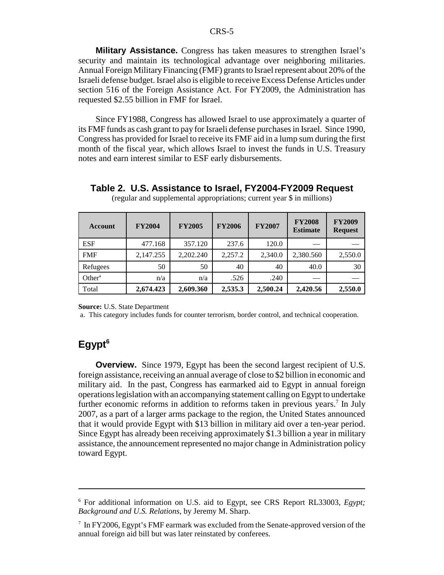**Military Assistance.** Congress has taken measures to strengthen Israel's security and maintain its technological advantage over neighboring militaries. Annual Foreign Military Financing (FMF) grants to Israel represent about 20% of the Israeli defense budget. Israel also is eligible to receive Excess Defense Articles under section 516 of the Foreign Assistance Act. For FY2009, the Administration has requested \$2.55 billion in FMF for Israel.

Since FY1988, Congress has allowed Israel to use approximately a quarter of its FMF funds as cash grant to pay for Israeli defense purchases in Israel. Since 1990, Congress has provided for Israel to receive its FMF aid in a lump sum during the first month of the fiscal year, which allows Israel to invest the funds in U.S. Treasury notes and earn interest similar to ESF early disbursements.

| Account            | <b>FY2004</b> | <b>FY2005</b> | <b>FY2006</b> | <b>FY2007</b> | <b>FY2008</b><br><b>Estimate</b> | <b>FY2009</b><br><b>Request</b> |
|--------------------|---------------|---------------|---------------|---------------|----------------------------------|---------------------------------|
| <b>ESF</b>         | 477.168       | 357.120       | 237.6         | 120.0         |                                  |                                 |
| <b>FMF</b>         | 2,147.255     | 2,202.240     | 2,257.2       | 2,340.0       | 2,380.560                        | 2,550.0                         |
| Refugees           | 50            | 50            | 40            | 40            | 40.0                             | 30                              |
| Other <sup>a</sup> | n/a           | n/a           | .526          | .240          |                                  |                                 |
| Total              | 2,674.423     | 2,609.360     | 2,535.3       | 2,500.24      | 2,420.56                         | 2,550.0                         |

#### **Table 2. U.S. Assistance to Israel, FY2004-FY2009 Request**

(regular and supplemental appropriations; current year \$ in millions)

**Source:** U.S. State Department

a. This category includes funds for counter terrorism, border control, and technical cooperation.

## **Egypt<sup>6</sup>**

**Overview.** Since 1979, Egypt has been the second largest recipient of U.S. foreign assistance, receiving an annual average of close to \$2 billion in economic and military aid. In the past, Congress has earmarked aid to Egypt in annual foreign operations legislation with an accompanying statement calling on Egypt to undertake further economic reforms in addition to reforms taken in previous years.<sup>7</sup> In July 2007, as a part of a larger arms package to the region, the United States announced that it would provide Egypt with \$13 billion in military aid over a ten-year period. Since Egypt has already been receiving approximately \$1.3 billion a year in military assistance, the announcement represented no major change in Administration policy toward Egypt.

<sup>6</sup> For additional information on U.S. aid to Egypt, see CRS Report RL33003, *Egypt; Background and U.S. Relations*, by Jeremy M. Sharp.

 $7$  In FY2006, Egypt's FMF earmark was excluded from the Senate-approved version of the annual foreign aid bill but was later reinstated by conferees.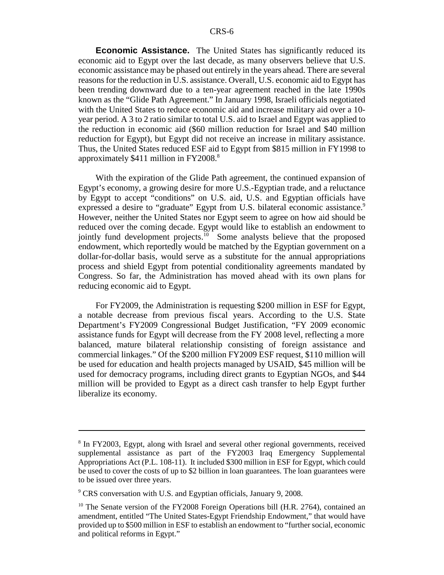**Economic Assistance.** The United States has significantly reduced its economic aid to Egypt over the last decade, as many observers believe that U.S. economic assistance may be phased out entirely in the years ahead. There are several reasons for the reduction in U.S. assistance. Overall, U.S. economic aid to Egypt has been trending downward due to a ten-year agreement reached in the late 1990s known as the "Glide Path Agreement." In January 1998, Israeli officials negotiated with the United States to reduce economic aid and increase military aid over a 10 year period. A 3 to 2 ratio similar to total U.S. aid to Israel and Egypt was applied to the reduction in economic aid (\$60 million reduction for Israel and \$40 million reduction for Egypt), but Egypt did not receive an increase in military assistance. Thus, the United States reduced ESF aid to Egypt from \$815 million in FY1998 to approximately \$411 million in FY2008.<sup>8</sup>

With the expiration of the Glide Path agreement, the continued expansion of Egypt's economy, a growing desire for more U.S.-Egyptian trade, and a reluctance by Egypt to accept "conditions" on U.S. aid, U.S. and Egyptian officials have expressed a desire to "graduate" Egypt from U.S. bilateral economic assistance.<sup>9</sup> However, neither the United States nor Egypt seem to agree on how aid should be reduced over the coming decade. Egypt would like to establish an endowment to jointly fund development projects.<sup>10</sup> Some analysts believe that the proposed endowment, which reportedly would be matched by the Egyptian government on a dollar-for-dollar basis, would serve as a substitute for the annual appropriations process and shield Egypt from potential conditionality agreements mandated by Congress. So far, the Administration has moved ahead with its own plans for reducing economic aid to Egypt.

For FY2009, the Administration is requesting \$200 million in ESF for Egypt, a notable decrease from previous fiscal years. According to the U.S. State Department's FY2009 Congressional Budget Justification, "FY 2009 economic assistance funds for Egypt will decrease from the FY 2008 level, reflecting a more balanced, mature bilateral relationship consisting of foreign assistance and commercial linkages." Of the \$200 million FY2009 ESF request, \$110 million will be used for education and health projects managed by USAID, \$45 million will be used for democracy programs, including direct grants to Egyptian NGOs, and \$44 million will be provided to Egypt as a direct cash transfer to help Egypt further liberalize its economy.

<sup>&</sup>lt;sup>8</sup> In FY2003, Egypt, along with Israel and several other regional governments, received supplemental assistance as part of the FY2003 Iraq Emergency Supplemental Appropriations Act (P.L. 108-11). It included \$300 million in ESF for Egypt, which could be used to cover the costs of up to \$2 billion in loan guarantees. The loan guarantees were to be issued over three years.

<sup>9</sup> CRS conversation with U.S. and Egyptian officials, January 9, 2008.

<sup>&</sup>lt;sup>10</sup> The Senate version of the FY2008 Foreign Operations bill (H.R. 2764), contained an amendment, entitled "The United States-Egypt Friendship Endowment," that would have provided up to \$500 million in ESF to establish an endowment to "further social, economic and political reforms in Egypt."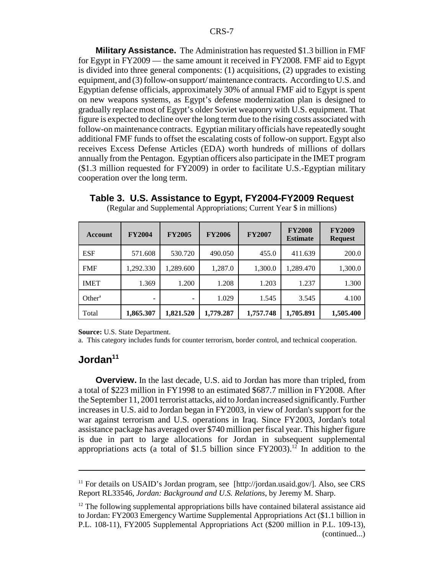**Military Assistance.** The Administration has requested \$1.3 billion in FMF for Egypt in FY2009 — the same amount it received in FY2008. FMF aid to Egypt is divided into three general components: (1) acquisitions, (2) upgrades to existing equipment, and (3) follow-on support/ maintenance contracts. According to U.S. and Egyptian defense officials, approximately 30% of annual FMF aid to Egypt is spent on new weapons systems, as Egypt's defense modernization plan is designed to gradually replace most of Egypt's older Soviet weaponry with U.S. equipment. That figure is expected to decline over the long term due to the rising costs associated with follow-on maintenance contracts. Egyptian military officials have repeatedly sought additional FMF funds to offset the escalating costs of follow-on support. Egypt also receives Excess Defense Articles (EDA) worth hundreds of millions of dollars annually from the Pentagon. Egyptian officers also participate in the IMET program (\$1.3 million requested for FY2009) in order to facilitate U.S.-Egyptian military cooperation over the long term.

| Account            | <b>FY2004</b> | <b>FY2005</b> | <b>FY2006</b> | <b>FY2007</b> | <b>FY2008</b><br><b>Estimate</b> | <b>FY2009</b><br><b>Request</b> |
|--------------------|---------------|---------------|---------------|---------------|----------------------------------|---------------------------------|
| <b>ESF</b>         | 571.608       | 530.720       | 490.050       | 455.0         | 411.639                          | 200.0                           |
| <b>FMF</b>         | 1,292.330     | 1,289.600     | 1,287.0       | 1,300.0       | 1,289.470                        | 1,300.0                         |
| <b>IMET</b>        | 1.369         | 1.200         | 1.208         | 1.203         | 1.237                            | 1.300                           |
| Other <sup>a</sup> | ۰             |               | 1.029         | 1.545         | 3.545                            | 4.100                           |
| Total              | 1,865.307     | 1,821.520     | 1,779.287     | 1,757.748     | 1,705.891                        | 1,505.400                       |

**Table 3. U.S. Assistance to Egypt, FY2004-FY2009 Request** (Regular and Supplemental Appropriations; Current Year \$ in millions)

**Source:** U.S. State Department.

a. This category includes funds for counter terrorism, border control, and technical cooperation.

## Jordan<sup>11</sup>

**Overview.** In the last decade, U.S. aid to Jordan has more than tripled, from a total of \$223 million in FY1998 to an estimated \$687.7 million in FY2008. After the September 11, 2001 terrorist attacks, aid to Jordan increased significantly. Further increases in U.S. aid to Jordan began in FY2003, in view of Jordan's support for the war against terrorism and U.S. operations in Iraq. Since FY2003, Jordan's total assistance package has averaged over \$740 million per fiscal year. This higher figure is due in part to large allocations for Jordan in subsequent supplemental appropriations acts (a total of \$1.5 billion since  $FY2003$ ).<sup>12</sup> In addition to the

<sup>&</sup>lt;sup>11</sup> For details on USAID's Jordan program, see [http://jordan.usaid.gov/]. Also, see CRS Report RL33546, *Jordan: Background and U.S. Relations*, by Jeremy M. Sharp.

 $12$  The following supplemental appropriations bills have contained bilateral assistance aid to Jordan: FY2003 Emergency Wartime Supplemental Appropriations Act (\$1.1 billion in P.L. 108-11), FY2005 Supplemental Appropriations Act (\$200 million in P.L. 109-13), (continued...)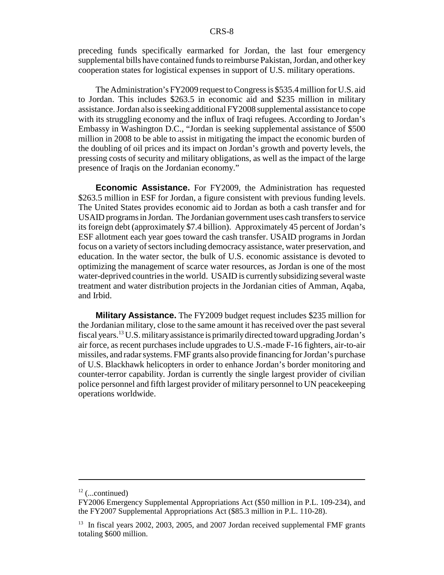preceding funds specifically earmarked for Jordan, the last four emergency supplemental bills have contained funds to reimburse Pakistan, Jordan, and other key cooperation states for logistical expenses in support of U.S. military operations.

The Administration's FY2009 request to Congress is \$535.4 million for U.S. aid to Jordan. This includes \$263.5 in economic aid and \$235 million in military assistance. Jordan also is seeking additional FY2008 supplemental assistance to cope with its struggling economy and the influx of Iraqi refugees. According to Jordan's Embassy in Washington D.C., "Jordan is seeking supplemental assistance of \$500 million in 2008 to be able to assist in mitigating the impact the economic burden of the doubling of oil prices and its impact on Jordan's growth and poverty levels, the pressing costs of security and military obligations, as well as the impact of the large presence of Iraqis on the Jordanian economy."

**Economic Assistance.** For FY2009, the Administration has requested \$263.5 million in ESF for Jordan, a figure consistent with previous funding levels. The United States provides economic aid to Jordan as both a cash transfer and for USAID programs in Jordan. The Jordanian government uses cash transfers to service its foreign debt (approximately \$7.4 billion). Approximately 45 percent of Jordan's ESF allotment each year goes toward the cash transfer. USAID programs in Jordan focus on a variety of sectors including democracy assistance, water preservation, and education. In the water sector, the bulk of U.S. economic assistance is devoted to optimizing the management of scarce water resources, as Jordan is one of the most water-deprived countries in the world. USAID is currently subsidizing several waste treatment and water distribution projects in the Jordanian cities of Amman, Aqaba, and Irbid.

**Military Assistance.** The FY2009 budget request includes \$235 million for the Jordanian military, close to the same amount it has received over the past several fiscal years.<sup>13</sup> U.S. military assistance is primarily directed toward upgrading Jordan's air force, as recent purchases include upgrades to U.S.-made F-16 fighters, air-to-air missiles, and radar systems. FMF grants also provide financing for Jordan's purchase of U.S. Blackhawk helicopters in order to enhance Jordan's border monitoring and counter-terror capability. Jordan is currently the single largest provider of civilian police personnel and fifth largest provider of military personnel to UN peacekeeping operations worldwide.

 $12$  (...continued)

FY2006 Emergency Supplemental Appropriations Act (\$50 million in P.L. 109-234), and the FY2007 Supplemental Appropriations Act (\$85.3 million in P.L. 110-28).

<sup>&</sup>lt;sup>13</sup> In fiscal years 2002, 2003, 2005, and 2007 Jordan received supplemental FMF grants totaling \$600 million.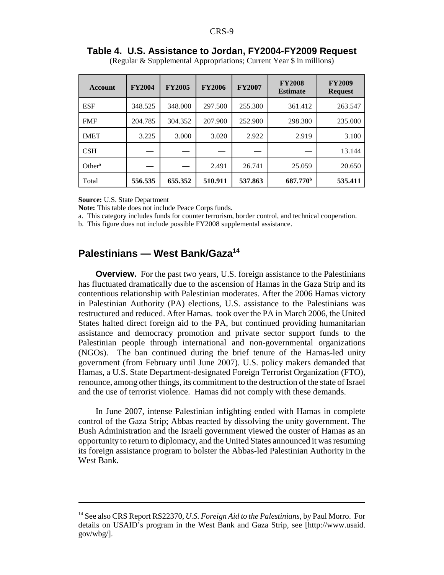| Account            | <b>FY2004</b> | <b>FY2005</b> | <b>FY2006</b> | <b>FY2007</b> | <b>FY2008</b><br><b>Estimate</b> | <b>FY2009</b><br><b>Request</b> |
|--------------------|---------------|---------------|---------------|---------------|----------------------------------|---------------------------------|
| <b>ESF</b>         | 348.525       | 348,000       | 297.500       | 255.300       | 361.412                          | 263.547                         |
| <b>FMF</b>         | 204.785       | 304.352       | 207.900       | 252.900       | 298.380                          | 235.000                         |
| <b>IMET</b>        | 3.225         | 3.000         | 3.020         | 2.922         | 2.919                            | 3.100                           |
| CSH                |               |               |               |               |                                  | 13.144                          |
| Other <sup>a</sup> |               |               | 2.491         | 26.741        | 25.059                           | 20.650                          |
| Total              | 556.535       | 655.352       | 510.911       | 537.863       | 687.770 <sup>b</sup>             | 535.411                         |

**Table 4. U.S. Assistance to Jordan, FY2004-FY2009 Request** (Regular & Supplemental Appropriations; Current Year \$ in millions)

**Source:** U.S. State Department

**Note:** This table does not include Peace Corps funds.

a. This category includes funds for counter terrorism, border control, and technical cooperation.

b. This figure does not include possible FY2008 supplemental assistance.

## **Palestinians — West Bank/Gaza14**

**Overview.** For the past two years, U.S. foreign assistance to the Palestinians has fluctuated dramatically due to the ascension of Hamas in the Gaza Strip and its contentious relationship with Palestinian moderates. After the 2006 Hamas victory in Palestinian Authority (PA) elections, U.S. assistance to the Palestinians was restructured and reduced. After Hamas. took over the PA in March 2006, the United States halted direct foreign aid to the PA, but continued providing humanitarian assistance and democracy promotion and private sector support funds to the Palestinian people through international and non-governmental organizations (NGOs). The ban continued during the brief tenure of the Hamas-led unity government (from February until June 2007). U.S. policy makers demanded that Hamas, a U.S. State Department-designated Foreign Terrorist Organization (FTO), renounce, among other things, its commitment to the destruction of the state of Israel and the use of terrorist violence. Hamas did not comply with these demands.

In June 2007, intense Palestinian infighting ended with Hamas in complete control of the Gaza Strip; Abbas reacted by dissolving the unity government. The Bush Administration and the Israeli government viewed the ouster of Hamas as an opportunity to return to diplomacy, and the United States announced it was resuming its foreign assistance program to bolster the Abbas-led Palestinian Authority in the West Bank.

<sup>14</sup> See also CRS Report RS22370, *U.S. Foreign Aid to the Palestinians*, by Paul Morro. For details on USAID's program in the West Bank and Gaza Strip, see [http://www.usaid. gov/wbg/].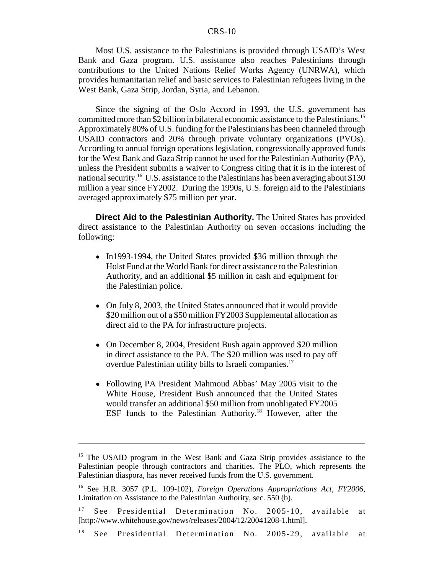Most U.S. assistance to the Palestinians is provided through USAID's West Bank and Gaza program. U.S. assistance also reaches Palestinians through contributions to the United Nations Relief Works Agency (UNRWA), which provides humanitarian relief and basic services to Palestinian refugees living in the West Bank, Gaza Strip, Jordan, Syria, and Lebanon.

Since the signing of the Oslo Accord in 1993, the U.S. government has committed more than \$2 billion in bilateral economic assistance to the Palestinians.<sup>15</sup> Approximately 80% of U.S. funding for the Palestinians has been channeled through USAID contractors and 20% through private voluntary organizations (PVOs). According to annual foreign operations legislation, congressionally approved funds for the West Bank and Gaza Strip cannot be used for the Palestinian Authority (PA), unless the President submits a waiver to Congress citing that it is in the interest of national security.16 U.S. assistance to the Palestinians has been averaging about \$130 million a year since FY2002. During the 1990s, U.S. foreign aid to the Palestinians averaged approximately \$75 million per year.

**Direct Aid to the Palestinian Authority.** The United States has provided direct assistance to the Palestinian Authority on seven occasions including the following:

- In1993-1994, the United States provided \$36 million through the Holst Fund at the World Bank for direct assistance to the Palestinian Authority, and an additional \$5 million in cash and equipment for the Palestinian police.
- On July 8, 2003, the United States announced that it would provide \$20 million out of a \$50 million FY2003 Supplemental allocation as direct aid to the PA for infrastructure projects.
- On December 8, 2004, President Bush again approved \$20 million in direct assistance to the PA. The \$20 million was used to pay off overdue Palestinian utility bills to Israeli companies.<sup>17</sup>
- Following PA President Mahmoud Abbas' May 2005 visit to the White House, President Bush announced that the United States would transfer an additional \$50 million from unobligated FY2005 ESF funds to the Palestinian Authority.18 However, after the

<sup>&</sup>lt;sup>15</sup> The USAID program in the West Bank and Gaza Strip provides assistance to the Palestinian people through contractors and charities. The PLO, which represents the Palestinian diaspora, has never received funds from the U.S. government.

<sup>16</sup> See H.R. 3057 (P.L. 109-102), *Foreign Operations Appropriations Act, FY2006*, Limitation on Assistance to the Palestinian Authority, sec. 550 (b).

 $17$  See Presidential Determination No. 2005-10, available at [http://www.whitehouse.gov/news/releases/2004/12/20041208-1.html].

 $18$  See Presidential Determination No. 2005-29, available at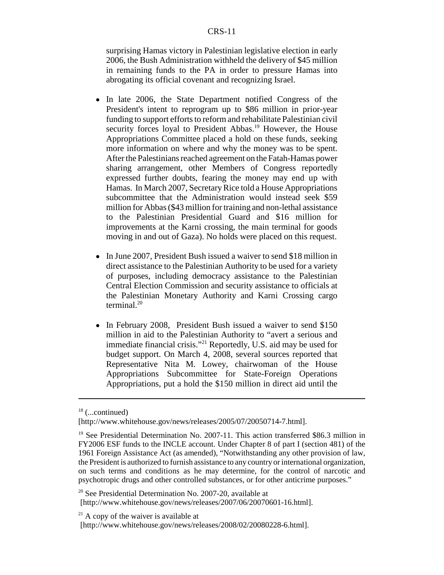#### CRS-11

surprising Hamas victory in Palestinian legislative election in early 2006, the Bush Administration withheld the delivery of \$45 million in remaining funds to the PA in order to pressure Hamas into abrogating its official covenant and recognizing Israel.

- In late 2006, the State Department notified Congress of the President's intent to reprogram up to \$86 million in prior-year funding to support efforts to reform and rehabilitate Palestinian civil security forces loyal to President Abbas.<sup>19</sup> However, the House Appropriations Committee placed a hold on these funds, seeking more information on where and why the money was to be spent. After the Palestinians reached agreement on the Fatah-Hamas power sharing arrangement, other Members of Congress reportedly expressed further doubts, fearing the money may end up with Hamas. In March 2007, Secretary Rice told a House Appropriations subcommittee that the Administration would instead seek \$59 million for Abbas (\$43 million for training and non-lethal assistance to the Palestinian Presidential Guard and \$16 million for improvements at the Karni crossing, the main terminal for goods moving in and out of Gaza). No holds were placed on this request.
- In June 2007, President Bush issued a waiver to send \$18 million in direct assistance to the Palestinian Authority to be used for a variety of purposes, including democracy assistance to the Palestinian Central Election Commission and security assistance to officials at the Palestinian Monetary Authority and Karni Crossing cargo terminal. $^{20}$
- In February 2008, President Bush issued a waiver to send \$150 million in aid to the Palestinian Authority to "avert a serious and immediate financial crisis."21 Reportedly, U.S. aid may be used for budget support. On March 4, 2008, several sources reported that Representative Nita M. Lowey, chairwoman of the House Appropriations Subcommittee for State-Foreign Operations Appropriations, put a hold the \$150 million in direct aid until the

 $18$  (...continued)

<sup>[</sup>http://www.whitehouse.gov/news/releases/2005/07/20050714-7.html].

<sup>&</sup>lt;sup>19</sup> See Presidential Determination No. 2007-11. This action transferred \$86.3 million in FY2006 ESF funds to the INCLE account. Under Chapter 8 of part I (section 481) of the 1961 Foreign Assistance Act (as amended), "Notwithstanding any other provision of law, the President is authorized to furnish assistance to any country or international organization, on such terms and conditions as he may determine, for the control of narcotic and psychotropic drugs and other controlled substances, or for other anticrime purposes."

<sup>20</sup> See Presidential Determination No. 2007-20, available at [http://www.whitehouse.gov/news/releases/2007/06/20070601-16.html].

 $21$  A copy of the waiver is available at [http://www.whitehouse.gov/news/releases/2008/02/20080228-6.html].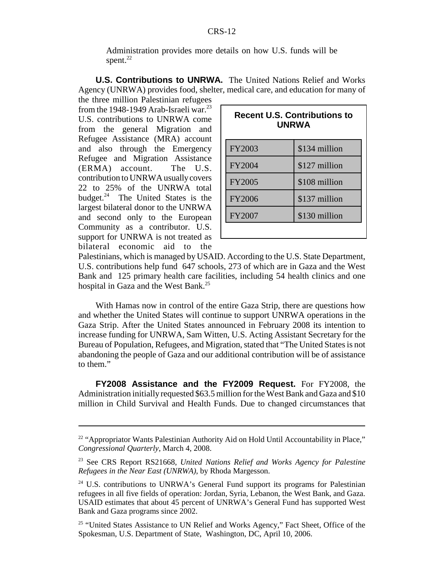Administration provides more details on how U.S. funds will be spent. $^{22}$ 

**U.S. Contributions to UNRWA.** The United Nations Relief and Works Agency (UNRWA) provides food, shelter, medical care, and education for many of

the three million Palestinian refugees from the 1948-1949 Arab-Israeli war.<sup>23</sup> U.S. contributions to UNRWA come from the general Migration and Refugee Assistance (MRA) account and also through the Emergency Refugee and Migration Assistance (ERMA) account. The U.S. contribution to UNRWA usually covers 22 to 25% of the UNRWA total budget.<sup>24</sup> The United States is the largest bilateral donor to the UNRWA and second only to the European Community as a contributor. U.S. support for UNRWA is not treated as bilateral economic aid to the

| <b>Recent U.S. Contributions to</b><br>UNRWA |               |  |  |  |  |  |
|----------------------------------------------|---------------|--|--|--|--|--|
| FY2003                                       | \$134 million |  |  |  |  |  |
| <b>FY2004</b>                                | \$127 million |  |  |  |  |  |
| <b>FY2005</b>                                | \$108 million |  |  |  |  |  |
| <b>FY2006</b>                                | \$137 million |  |  |  |  |  |
| \$130 million<br><b>FY2007</b>               |               |  |  |  |  |  |
|                                              |               |  |  |  |  |  |

Palestinians, which is managed by USAID. According to the U.S. State Department, U.S. contributions help fund 647 schools, 273 of which are in Gaza and the West Bank and 125 primary health care facilities, including 54 health clinics and one hospital in Gaza and the West Bank.<sup>25</sup>

With Hamas now in control of the entire Gaza Strip, there are questions how and whether the United States will continue to support UNRWA operations in the Gaza Strip. After the United States announced in February 2008 its intention to increase funding for UNRWA, Sam Witten, U.S. Acting Assistant Secretary for the Bureau of Population, Refugees, and Migration, stated that "The United States is not abandoning the people of Gaza and our additional contribution will be of assistance to them."

**FY2008 Assistance and the FY2009 Request.** For FY2008, the Administration initially requested \$63.5 million for the West Bank and Gaza and \$10 million in Child Survival and Health Funds. Due to changed circumstances that

<sup>&</sup>lt;sup>22</sup> "Appropriator Wants Palestinian Authority Aid on Hold Until Accountability in Place," *Congressional Quarterly*, March 4, 2008.

<sup>23</sup> See CRS Report RS21668, *United Nations Relief and Works Agency for Palestine Refugees in the Near East (UNRWA)*, by Rhoda Margesson.

 $24$  U.S. contributions to UNRWA's General Fund support its programs for Palestinian refugees in all five fields of operation: Jordan, Syria, Lebanon, the West Bank, and Gaza. USAID estimates that about 45 percent of UNRWA's General Fund has supported West Bank and Gaza programs since 2002.

<sup>&</sup>lt;sup>25</sup> "United States Assistance to UN Relief and Works Agency," Fact Sheet, Office of the Spokesman, U.S. Department of State, Washington, DC, April 10, 2006.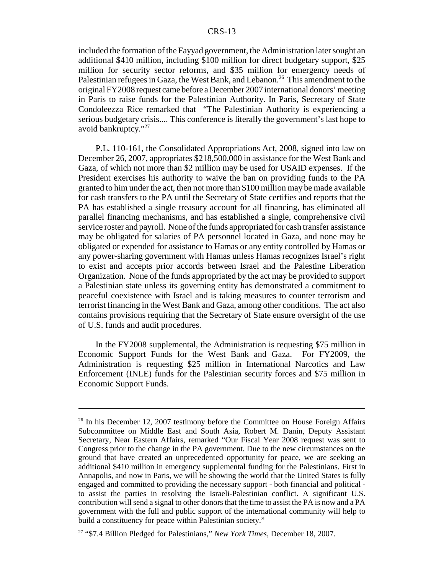included the formation of the Fayyad government, the Administration later sought an additional \$410 million, including \$100 million for direct budgetary support, \$25 million for security sector reforms, and \$35 million for emergency needs of Palestinian refugees in Gaza, the West Bank, and Lebanon.<sup>26</sup> This amendment to the original FY2008 request came before a December 2007 international donors' meeting in Paris to raise funds for the Palestinian Authority. In Paris, Secretary of State Condoleezza Rice remarked that "The Palestinian Authority is experiencing a serious budgetary crisis.... This conference is literally the government's last hope to avoid bankruptcy."27

P.L. 110-161, the Consolidated Appropriations Act, 2008, signed into law on December 26, 2007, appropriates \$218,500,000 in assistance for the West Bank and Gaza, of which not more than \$2 million may be used for USAID expenses. If the President exercises his authority to waive the ban on providing funds to the PA granted to him under the act, then not more than \$100 million may be made available for cash transfers to the PA until the Secretary of State certifies and reports that the PA has established a single treasury account for all financing, has eliminated all parallel financing mechanisms, and has established a single, comprehensive civil service roster and payroll. None of the funds appropriated for cash transfer assistance may be obligated for salaries of PA personnel located in Gaza, and none may be obligated or expended for assistance to Hamas or any entity controlled by Hamas or any power-sharing government with Hamas unless Hamas recognizes Israel's right to exist and accepts prior accords between Israel and the Palestine Liberation Organization. None of the funds appropriated by the act may be provided to support a Palestinian state unless its governing entity has demonstrated a commitment to peaceful coexistence with Israel and is taking measures to counter terrorism and terrorist financing in the West Bank and Gaza, among other conditions. The act also contains provisions requiring that the Secretary of State ensure oversight of the use of U.S. funds and audit procedures.

In the FY2008 supplemental, the Administration is requesting \$75 million in Economic Support Funds for the West Bank and Gaza. For FY2009, the Administration is requesting \$25 million in International Narcotics and Law Enforcement (INLE) funds for the Palestinian security forces and \$75 million in Economic Support Funds.

<sup>&</sup>lt;sup>26</sup> In his December 12, 2007 testimony before the Committee on House Foreign Affairs Subcommittee on Middle East and South Asia, Robert M. Danin, Deputy Assistant Secretary, Near Eastern Affairs, remarked "Our Fiscal Year 2008 request was sent to Congress prior to the change in the PA government. Due to the new circumstances on the ground that have created an unprecedented opportunity for peace, we are seeking an additional \$410 million in emergency supplemental funding for the Palestinians. First in Annapolis, and now in Paris, we will be showing the world that the United States is fully engaged and committed to providing the necessary support - both financial and political to assist the parties in resolving the Israeli-Palestinian conflict. A significant U.S. contribution will send a signal to other donors that the time to assist the PA is now and a PA government with the full and public support of the international community will help to build a constituency for peace within Palestinian society."

<sup>27 &</sup>quot;\$7.4 Billion Pledged for Palestinians," *New York Times*, December 18, 2007.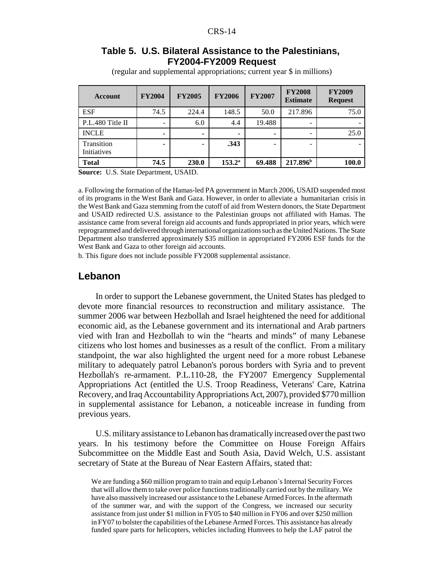#### **Table 5. U.S. Bilateral Assistance to the Palestinians, FY2004-FY2009 Request**

(regular and supplemental appropriations; current year \$ in millions)

| Account                   | <b>FY2004</b> | <b>FY2005</b> | <b>FY2006</b>   | <b>FY2007</b> | <b>FY2008</b><br><b>Estimate</b> | <b>FY2009</b><br><b>Request</b> |
|---------------------------|---------------|---------------|-----------------|---------------|----------------------------------|---------------------------------|
| <b>ESF</b>                | 74.5          | 224.4         | 148.5           | 50.0          | 217.896                          | 75.0                            |
| P.L.480 Title II          | ۰             | 6.0           | 4.4             | 19.488        |                                  |                                 |
| <b>INCLE</b>              | ۰             | ٠             |                 |               |                                  | 25.0                            |
| Transition<br>Initiatives | ۰             | ٠             | .343            | -             | -                                |                                 |
| <b>Total</b>              | 74.5          | 230.0         | $153.2^{\circ}$ | 69.488        | 217.896 <sup>b</sup>             | 100.0                           |

**Source:** U.S. State Department, USAID.

a. Following the formation of the Hamas-led PA government in March 2006, USAID suspended most of its programs in the West Bank and Gaza. However, in order to alleviate a humanitarian crisis in the West Bank and Gaza stemming from the cutoff of aid from Western donors, the State Department and USAID redirected U.S. assistance to the Palestinian groups not affiliated with Hamas. The assistance came from several foreign aid accounts and funds appropriated in prior years, which were reprogrammed and delivered through international organizations such as the United Nations. The State Department also transferred approximately \$35 million in appropriated FY2006 ESF funds for the West Bank and Gaza to other foreign aid accounts.

b. This figure does not include possible FY2008 supplemental assistance.

#### **Lebanon**

In order to support the Lebanese government, the United States has pledged to devote more financial resources to reconstruction and military assistance. The summer 2006 war between Hezbollah and Israel heightened the need for additional economic aid, as the Lebanese government and its international and Arab partners vied with Iran and Hezbollah to win the "hearts and minds" of many Lebanese citizens who lost homes and businesses as a result of the conflict. From a military standpoint, the war also highlighted the urgent need for a more robust Lebanese military to adequately patrol Lebanon's porous borders with Syria and to prevent Hezbollah's re-armament. P.L.110-28, the FY2007 Emergency Supplemental Appropriations Act (entitled the U.S. Troop Readiness, Veterans' Care, Katrina Recovery, and Iraq Accountability Appropriations Act, 2007), provided \$770 million in supplemental assistance for Lebanon, a noticeable increase in funding from previous years.

U.S. military assistance to Lebanon has dramatically increased over the past two years. In his testimony before the Committee on House Foreign Affairs Subcommittee on the Middle East and South Asia, David Welch, U.S. assistant secretary of State at the Bureau of Near Eastern Affairs, stated that:

We are funding a \$60 million program to train and equip Lebanon`s Internal Security Forces that will allow them to take over police functions traditionally carried out by the military. We have also massively increased our assistance to the Lebanese Armed Forces. In the aftermath of the summer war, and with the support of the Congress, we increased our security assistance from just under \$1 million in FY05 to \$40 million in FY06 and over \$250 million in FY07 to bolster the capabilities of the Lebanese Armed Forces. This assistance has already funded spare parts for helicopters, vehicles including Humvees to help the LAF patrol the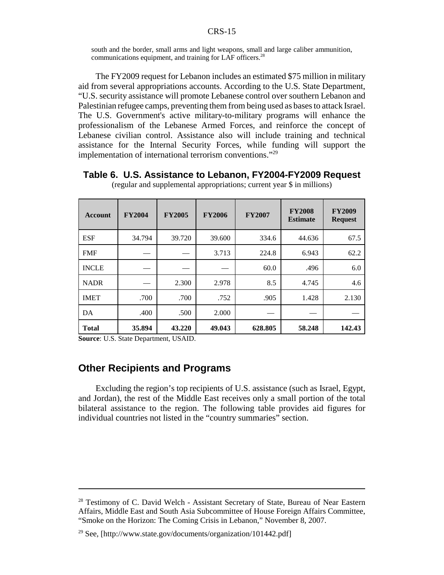south and the border, small arms and light weapons, small and large caliber ammunition, communications equipment, and training for LAF officers.28

The FY2009 request for Lebanon includes an estimated \$75 million in military aid from several appropriations accounts. According to the U.S. State Department, "U.S. security assistance will promote Lebanese control over southern Lebanon and Palestinian refugee camps, preventing them from being used as bases to attack Israel. The U.S. Government's active military-to-military programs will enhance the professionalism of the Lebanese Armed Forces, and reinforce the concept of Lebanese civilian control. Assistance also will include training and technical assistance for the Internal Security Forces, while funding will support the implementation of international terrorism conventions."<sup>29</sup>

| <b>Account</b> | <b>FY2004</b> | <b>FY2005</b> | <b>FY2006</b> | <b>FY2007</b> | <b>FY2008</b><br><b>Estimate</b> | <b>FY2009</b><br><b>Request</b> |
|----------------|---------------|---------------|---------------|---------------|----------------------------------|---------------------------------|
| <b>ESF</b>     | 34.794        | 39.720        | 39.600        | 334.6         | 44.636                           | 67.5                            |
| <b>FMF</b>     |               |               | 3.713         | 224.8         | 6.943                            | 62.2                            |
| <b>INCLE</b>   |               |               |               | 60.0          | .496                             | 6.0                             |
| <b>NADR</b>    |               | 2.300         | 2.978         | 8.5           | 4.745                            | 4.6                             |
| <b>IMET</b>    | .700          | .700          | .752          | .905          | 1.428                            | 2.130                           |
| DA             | .400          | .500          | 2.000         |               |                                  |                                 |
| <b>Total</b>   | 35.894        | 43.220        | 49.043        | 628.805       | 58.248                           | 142.43                          |

**Table 6. U.S. Assistance to Lebanon, FY2004-FY2009 Request**

(regular and supplemental appropriations; current year \$ in millions)

**Source**: U.S. State Department, USAID.

#### **Other Recipients and Programs**

Excluding the region's top recipients of U.S. assistance (such as Israel, Egypt, and Jordan), the rest of the Middle East receives only a small portion of the total bilateral assistance to the region. The following table provides aid figures for individual countries not listed in the "country summaries" section.

<sup>&</sup>lt;sup>28</sup> Testimony of C. David Welch - Assistant Secretary of State, Bureau of Near Eastern Affairs, Middle East and South Asia Subcommittee of House Foreign Affairs Committee, "Smoke on the Horizon: The Coming Crisis in Lebanon," November 8, 2007.

 $^{29}$  See, [http://www.state.gov/documents/organization/101442.pdf]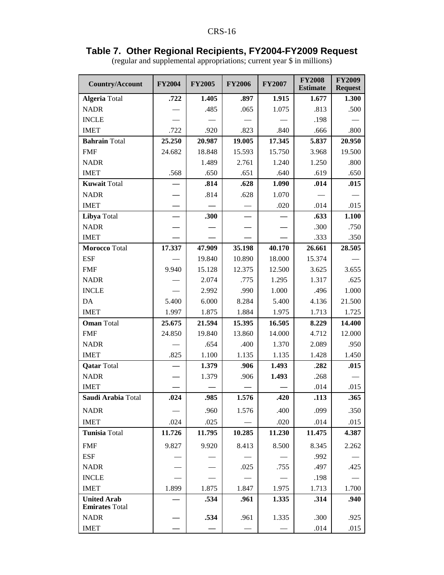#### **Table 7. Other Regional Recipients, FY2004-FY2009 Request**

(regular and supplemental appropriations; current year \$ in millions)

| <b>Country/Account</b>                      | <b>FY2004</b> | <b>FY2005</b> | <b>FY2006</b> | <b>FY2007</b> | <b>FY2008</b><br><b>Estimate</b> | <b>FY2009</b><br><b>Request</b> |
|---------------------------------------------|---------------|---------------|---------------|---------------|----------------------------------|---------------------------------|
| <b>Algeria Total</b>                        | .722          | 1.405         | .897          | 1.915         | 1.677                            | 1.300                           |
| <b>NADR</b>                                 |               | .485          | .065          | 1.075         | .813                             | .500                            |
| <b>INCLE</b>                                |               |               |               |               | .198                             |                                 |
| <b>IMET</b>                                 | .722          | .920          | .823          | .840          | .666                             | .800                            |
| <b>Bahrain Total</b>                        | 25.250        | 20.987        | 19.005        | 17.345        | 5.837                            | 20.950                          |
| <b>FMF</b>                                  | 24.682        | 18.848        | 15.593        | 15.750        | 3.968                            | 19.500                          |
| <b>NADR</b>                                 |               | 1.489         | 2.761         | 1.240         | 1.250                            | .800                            |
| <b>IMET</b>                                 | .568          | .650          | .651          | .640          | .619                             | .650                            |
| <b>Kuwait Total</b>                         |               | .814          | .628          | 1.090         | .014                             | .015                            |
| <b>NADR</b>                                 |               | .814          | .628          | 1.070         |                                  |                                 |
| <b>IMET</b>                                 |               |               |               | .020          | .014                             | .015                            |
| Libya Total                                 |               | .300          |               |               | .633                             | 1.100                           |
| <b>NADR</b>                                 |               |               |               |               | .300                             | .750                            |
| <b>IMET</b>                                 |               |               |               |               | .333                             | .350                            |
| <b>Morocco</b> Total                        | 17.337        | 47.909        | 35.198        | 40.170        | 26.661                           | 28.505                          |
| <b>ESF</b>                                  |               | 19.840        | 10.890        | 18.000        | 15.374                           |                                 |
| <b>FMF</b>                                  | 9.940         | 15.128        | 12.375        | 12.500        | 3.625                            | 3.655                           |
| <b>NADR</b>                                 |               | 2.074         | .775          | 1.295         | 1.317                            | .625                            |
| <b>INCLE</b>                                |               | 2.992         | .990          | 1.000         | .496                             | 1.000                           |
| DA                                          | 5.400         | 6.000         | 8.284         | 5.400         | 4.136                            | 21.500                          |
| <b>IMET</b>                                 | 1.997         | 1.875         | 1.884         | 1.975         | 1.713                            | 1.725                           |
| <b>Oman Total</b>                           | 25.675        | 21.594        | 15.395        | 16.505        | 8.229                            | 14.400                          |
| <b>FMF</b>                                  | 24.850        | 19.840        | 13.860        | 14.000        | 4.712                            | 12.000                          |
| <b>NADR</b>                                 |               | .654          | .400          | 1.370         | 2.089                            | .950                            |
| <b>IMET</b>                                 | .825          | 1.100         | 1.135         | 1.135         | 1.428                            | 1.450                           |
| <b>Qatar Total</b>                          |               | 1.379         | .906          | 1.493         | .282                             | .015                            |
| <b>NADR</b>                                 |               | 1.379         | .906          | 1.493         | .268                             |                                 |
| <b>IMET</b>                                 |               |               |               |               | .014                             | .015                            |
| Saudi Arabia Total                          | .024          | .985          | 1.576         | .420          | .113                             | .365                            |
| <b>NADR</b>                                 |               | .960          | 1.576         | .400          | .099                             | .350                            |
| <b>IMET</b>                                 | .024          | .025          |               | .020          | .014                             | .015                            |
| <b>Tunisia Total</b>                        | 11.726        | 11.795        | 10.285        | 11.230        | 11.475                           | 4.387                           |
| <b>FMF</b>                                  | 9.827         | 9.920         | 8.413         | 8.500         | 8.345                            | 2.262                           |
| <b>ESF</b>                                  |               |               |               |               | .992                             |                                 |
| <b>NADR</b>                                 |               |               | .025          | .755          | .497                             | .425                            |
| <b>INCLE</b>                                |               |               |               |               | .198                             |                                 |
| <b>IMET</b>                                 | 1.899         | 1.875         | 1.847         | 1.975         | 1.713                            | 1.700                           |
| <b>United Arab</b><br><b>Emirates Total</b> |               | .534          | .961          | 1.335         | .314                             | .940                            |
| <b>NADR</b>                                 |               | .534          | .961          | 1.335         | .300                             | .925                            |
| <b>IMET</b>                                 |               |               |               |               | .014                             | .015                            |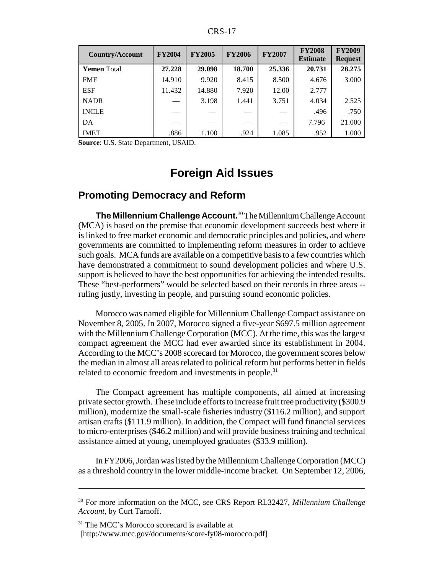CRS-17

| Country/Account    | <b>FY2004</b> | <b>FY2005</b> | <b>FY2006</b> | <b>FY2007</b> | <b>FY2008</b><br><b>Estimate</b> | <b>FY2009</b><br><b>Request</b> |
|--------------------|---------------|---------------|---------------|---------------|----------------------------------|---------------------------------|
| <b>Yemen</b> Total | 27.228        | 29.098        | 18.700        | 25.336        | 20.731                           | 28.275                          |
| <b>FMF</b>         | 14.910        | 9.920         | 8.415         | 8.500         | 4.676                            | 3.000                           |
| <b>ESF</b>         | 11.432        | 14.880        | 7.920         | 12.00         | 2.777                            |                                 |
| <b>NADR</b>        |               | 3.198         | 1.441         | 3.751         | 4.034                            | 2.525                           |
| <b>INCLE</b>       |               |               |               |               | .496                             | .750                            |
| DA                 |               |               |               |               | 7.796                            | 21.000                          |
| <b>IMET</b>        | .886          | 1.100         | .924          | 1.085         | .952                             | 1.000                           |

**Source**: U.S. State Department, USAID.

## **Foreign Aid Issues**

#### **Promoting Democracy and Reform**

**The Millennium Challenge Account.**30 The Millennium Challenge Account (MCA) is based on the premise that economic development succeeds best where it is linked to free market economic and democratic principles and policies, and where governments are committed to implementing reform measures in order to achieve such goals. MCA funds are available on a competitive basis to a few countries which have demonstrated a commitment to sound development policies and where U.S. support is believed to have the best opportunities for achieving the intended results. These "best-performers" would be selected based on their records in three areas - ruling justly, investing in people, and pursuing sound economic policies.

Morocco was named eligible for Millennium Challenge Compact assistance on November 8, 2005. In 2007, Morocco signed a five-year \$697.5 million agreement with the Millennium Challenge Corporation (MCC). At the time, this was the largest compact agreement the MCC had ever awarded since its establishment in 2004. According to the MCC's 2008 scorecard for Morocco, the government scores below the median in almost all areas related to political reform but performs better in fields related to economic freedom and investments in people.<sup>31</sup>

The Compact agreement has multiple components, all aimed at increasing private sector growth. These include efforts to increase fruit tree productivity (\$300.9 million), modernize the small-scale fisheries industry (\$116.2 million), and support artisan crafts (\$111.9 million). In addition, the Compact will fund financial services to micro-enterprises (\$46.2 million) and will provide business training and technical assistance aimed at young, unemployed graduates (\$33.9 million).

In FY2006, Jordan was listed by the Millennium Challenge Corporation (MCC) as a threshold country in the lower middle-income bracket. On September 12, 2006,

<sup>31</sup> The MCC's Morocco scorecard is available at [http://www.mcc.gov/documents/score-fy08-morocco.pdf]

<sup>30</sup> For more information on the MCC, see CRS Report RL32427, *Millennium Challenge Account*, by Curt Tarnoff.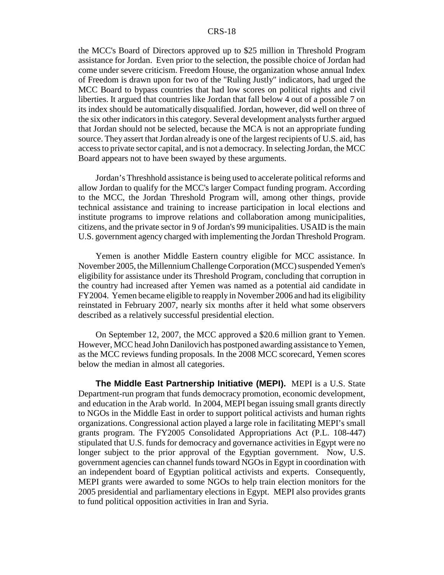#### CRS-18

the MCC's Board of Directors approved up to \$25 million in Threshold Program assistance for Jordan. Even prior to the selection, the possible choice of Jordan had come under severe criticism. Freedom House, the organization whose annual Index of Freedom is drawn upon for two of the "Ruling Justly" indicators, had urged the MCC Board to bypass countries that had low scores on political rights and civil liberties. It argued that countries like Jordan that fall below 4 out of a possible 7 on its index should be automatically disqualified. Jordan, however, did well on three of the six other indicators in this category. Several development analysts further argued that Jordan should not be selected, because the MCA is not an appropriate funding source. They assert that Jordan already is one of the largest recipients of U.S. aid, has access to private sector capital, and is not a democracy. In selecting Jordan, the MCC Board appears not to have been swayed by these arguments.

Jordan's Threshhold assistance is being used to accelerate political reforms and allow Jordan to qualify for the MCC's larger Compact funding program. According to the MCC, the Jordan Threshold Program will, among other things, provide technical assistance and training to increase participation in local elections and institute programs to improve relations and collaboration among municipalities, citizens, and the private sector in 9 of Jordan's 99 municipalities. USAID is the main U.S. government agency charged with implementing the Jordan Threshold Program.

Yemen is another Middle Eastern country eligible for MCC assistance. In November 2005, the Millennium Challenge Corporation (MCC) suspended Yemen's eligibility for assistance under its Threshold Program, concluding that corruption in the country had increased after Yemen was named as a potential aid candidate in FY2004. Yemen became eligible to reapply in November 2006 and had its eligibility reinstated in February 2007, nearly six months after it held what some observers described as a relatively successful presidential election.

On September 12, 2007, the MCC approved a \$20.6 million grant to Yemen. However, MCC head John Danilovich has postponed awarding assistance to Yemen, as the MCC reviews funding proposals. In the 2008 MCC scorecard, Yemen scores below the median in almost all categories.

**The Middle East Partnership Initiative (MEPI).** MEPI is a U.S. State Department-run program that funds democracy promotion, economic development, and education in the Arab world. In 2004, MEPI began issuing small grants directly to NGOs in the Middle East in order to support political activists and human rights organizations. Congressional action played a large role in facilitating MEPI's small grants program. The FY2005 Consolidated Appropriations Act (P.L. 108-447) stipulated that U.S. funds for democracy and governance activities in Egypt were no longer subject to the prior approval of the Egyptian government. Now, U.S. government agencies can channel funds toward NGOs in Egypt in coordination with an independent board of Egyptian political activists and experts. Consequently, MEPI grants were awarded to some NGOs to help train election monitors for the 2005 presidential and parliamentary elections in Egypt. MEPI also provides grants to fund political opposition activities in Iran and Syria.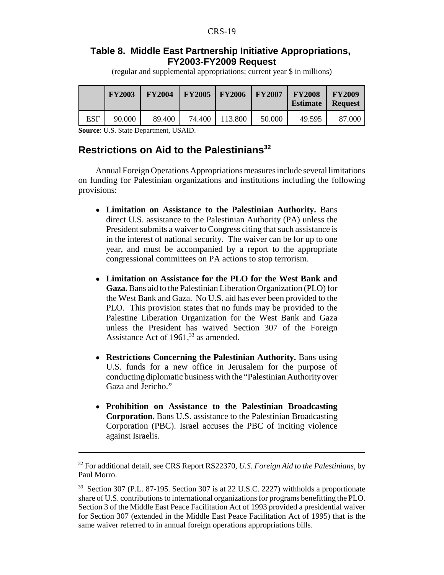#### CRS-19

#### **Table 8. Middle East Partnership Initiative Appropriations, FY2003-FY2009 Request**

(regular and supplemental appropriations; current year \$ in millions)

|            | <b>FY2003</b> | <b>FY2004</b> | <b>FY2005</b> | <b>FY2006</b> | <b>FY2007</b> | <b>FY2008</b><br><b>Estimate</b> | <b>FY2009</b><br><b>Request</b> |
|------------|---------------|---------------|---------------|---------------|---------------|----------------------------------|---------------------------------|
| <b>ESF</b> | 90.000        | 89.400        | 74.400        | 113.800       | 50.000        | 49.595                           | 87.000                          |

**Source**: U.S. State Department, USAID.

## **Restrictions on Aid to the Palestinians<sup>32</sup>**

Annual Foreign Operations Appropriations measures include several limitations on funding for Palestinian organizations and institutions including the following provisions:

- ! **Limitation on Assistance to the Palestinian Authority.** Bans direct U.S. assistance to the Palestinian Authority (PA) unless the President submits a waiver to Congress citing that such assistance is in the interest of national security. The waiver can be for up to one year, and must be accompanied by a report to the appropriate congressional committees on PA actions to stop terrorism.
- ! **Limitation on Assistance for the PLO for the West Bank and Gaza.** Bans aid to the Palestinian Liberation Organization (PLO) for the West Bank and Gaza. No U.S. aid has ever been provided to the PLO. This provision states that no funds may be provided to the Palestine Liberation Organization for the West Bank and Gaza unless the President has waived Section 307 of the Foreign Assistance Act of  $1961$ ,<sup>33</sup> as amended.
- ! **Restrictions Concerning the Palestinian Authority.** Bans using U.S. funds for a new office in Jerusalem for the purpose of conducting diplomatic business with the "Palestinian Authority over Gaza and Jericho."
- ! **Prohibition on Assistance to the Palestinian Broadcasting Corporation.** Bans U.S. assistance to the Palestinian Broadcasting Corporation (PBC). Israel accuses the PBC of inciting violence against Israelis.

<sup>32</sup> For additional detail, see CRS Report RS22370, *U.S. Foreign Aid to the Palestinians*, by Paul Morro.

<sup>33</sup> Section 307 (P.L. 87-195. Section 307 is at 22 U.S.C. 2227) withholds a proportionate share of U.S. contributions to international organizations for programs benefitting the PLO. Section 3 of the Middle East Peace Facilitation Act of 1993 provided a presidential waiver for Section 307 (extended in the Middle East Peace Facilitation Act of 1995) that is the same waiver referred to in annual foreign operations appropriations bills.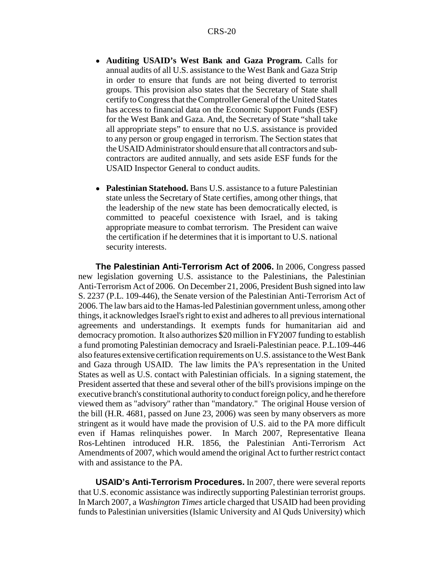- ! **Auditing USAID's West Bank and Gaza Program.** Calls for annual audits of all U.S. assistance to the West Bank and Gaza Strip in order to ensure that funds are not being diverted to terrorist groups. This provision also states that the Secretary of State shall certify to Congress that the Comptroller General of the United States has access to financial data on the Economic Support Funds (ESF) for the West Bank and Gaza. And, the Secretary of State "shall take all appropriate steps" to ensure that no U.S. assistance is provided to any person or group engaged in terrorism. The Section states that the USAID Administrator should ensure that all contractors and subcontractors are audited annually, and sets aside ESF funds for the USAID Inspector General to conduct audits.
- Palestinian Statehood. Bans U.S. assistance to a future Palestinian state unless the Secretary of State certifies, among other things, that the leadership of the new state has been democratically elected, is committed to peaceful coexistence with Israel, and is taking appropriate measure to combat terrorism. The President can waive the certification if he determines that it is important to U.S. national security interests.

**The Palestinian Anti-Terrorism Act of 2006.** In 2006, Congress passed new legislation governing U.S. assistance to the Palestinians, the Palestinian Anti-Terrorism Act of 2006. On December 21, 2006, President Bush signed into law S. 2237 (P.L. 109-446), the Senate version of the Palestinian Anti-Terrorism Act of 2006. The law bars aid to the Hamas-led Palestinian government unless, among other things, it acknowledges Israel's right to exist and adheres to all previous international agreements and understandings. It exempts funds for humanitarian aid and democracy promotion. It also authorizes \$20 million in FY2007 funding to establish a fund promoting Palestinian democracy and Israeli-Palestinian peace. P.L.109-446 also features extensive certification requirements on U.S. assistance to the West Bank and Gaza through USAID. The law limits the PA's representation in the United States as well as U.S. contact with Palestinian officials. In a signing statement, the President asserted that these and several other of the bill's provisions impinge on the executive branch's constitutional authority to conduct foreign policy, and he therefore viewed them as "advisory" rather than "mandatory." The original House version of the bill (H.R. 4681, passed on June 23, 2006) was seen by many observers as more stringent as it would have made the provision of U.S. aid to the PA more difficult even if Hamas relinquishes power. In March 2007, Representative Ileana Ros-Lehtinen introduced H.R. 1856, the Palestinian Anti-Terrorism Act Amendments of 2007, which would amend the original Act to further restrict contact with and assistance to the PA.

**USAID's Anti-Terrorism Procedures.** In 2007, there were several reports that U.S. economic assistance was indirectly supporting Palestinian terrorist groups. In March 2007, a *Washington Times* article charged that USAID had been providing funds to Palestinian universities (Islamic University and Al Quds University) which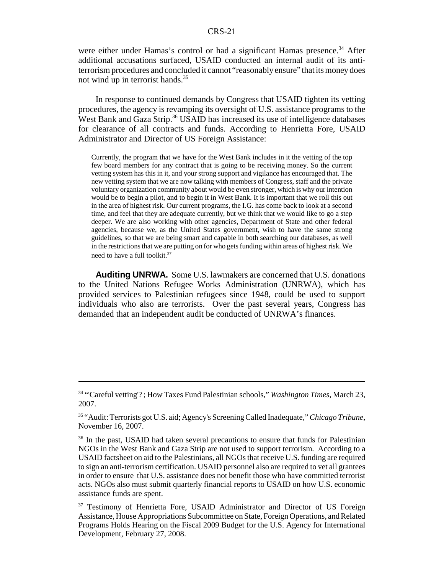#### CRS-21

were either under Hamas's control or had a significant Hamas presence.<sup>34</sup> After additional accusations surfaced, USAID conducted an internal audit of its antiterrorism procedures and concluded it cannot "reasonably ensure" that its money does not wind up in terrorist hands.<sup>35</sup>

In response to continued demands by Congress that USAID tighten its vetting procedures, the agency is revamping its oversight of U.S. assistance programs to the West Bank and Gaza Strip.<sup>36</sup> USAID has increased its use of intelligence databases for clearance of all contracts and funds. According to Henrietta Fore, USAID Administrator and Director of US Foreign Assistance:

Currently, the program that we have for the West Bank includes in it the vetting of the top few board members for any contract that is going to be receiving money. So the current vetting system has this in it, and your strong support and vigilance has encouraged that. The new vetting system that we are now talking with members of Congress, staff and the private voluntary organization community about would be even stronger, which is why our intention would be to begin a pilot, and to begin it in West Bank. It is important that we roll this out in the area of highest risk. Our current programs, the I.G. has come back to look at a second time, and feel that they are adequate currently, but we think that we would like to go a step deeper. We are also working with other agencies, Department of State and other federal agencies, because we, as the United States government, wish to have the same strong guidelines, so that we are being smart and capable in both searching our databases, as well in the restrictions that we are putting on for who gets funding within areas of highest risk. We need to have a full toolkit.<sup>37</sup>

**Auditing UNRWA.** Some U.S. lawmakers are concerned that U.S. donations to the United Nations Refugee Works Administration (UNRWA), which has provided services to Palestinian refugees since 1948, could be used to support individuals who also are terrorists. Over the past several years, Congress has demanded that an independent audit be conducted of UNRWA's finances.

<sup>34 &</sup>quot;'Careful vetting'? ; How Taxes Fund Palestinian schools," *Washington Times*, March 23, 2007.

<sup>35 &</sup>quot;Audit: Terrorists got U.S. aid; Agency's Screening Called Inadequate," *Chicago Tribune*, November 16, 2007.

<sup>&</sup>lt;sup>36</sup> In the past, USAID had taken several precautions to ensure that funds for Palestinian NGOs in the West Bank and Gaza Strip are not used to support terrorism. According to a USAID factsheet on aid to the Palestinians, all NGOs that receive U.S. funding are required to sign an anti-terrorism certification. USAID personnel also are required to vet all grantees in order to ensure that U.S. assistance does not benefit those who have committed terrorist acts. NGOs also must submit quarterly financial reports to USAID on how U.S. economic assistance funds are spent.

<sup>&</sup>lt;sup>37</sup> Testimony of Henrietta Fore, USAID Administrator and Director of US Foreign Assistance, House Appropriations Subcommittee on State, Foreign Operations, and Related Programs Holds Hearing on the Fiscal 2009 Budget for the U.S. Agency for International Development, February 27, 2008.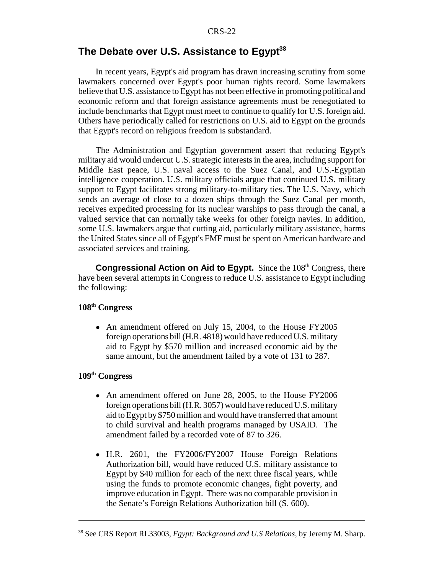## The Debate over U.S. Assistance to Egypt<sup>38</sup>

In recent years, Egypt's aid program has drawn increasing scrutiny from some lawmakers concerned over Egypt's poor human rights record. Some lawmakers believe that U.S. assistance to Egypt has not been effective in promoting political and economic reform and that foreign assistance agreements must be renegotiated to include benchmarks that Egypt must meet to continue to qualify for U.S. foreign aid. Others have periodically called for restrictions on U.S. aid to Egypt on the grounds that Egypt's record on religious freedom is substandard.

The Administration and Egyptian government assert that reducing Egypt's military aid would undercut U.S. strategic interests in the area, including support for Middle East peace, U.S. naval access to the Suez Canal, and U.S.-Egyptian intelligence cooperation. U.S. military officials argue that continued U.S. military support to Egypt facilitates strong military-to-military ties. The U.S. Navy, which sends an average of close to a dozen ships through the Suez Canal per month, receives expedited processing for its nuclear warships to pass through the canal, a valued service that can normally take weeks for other foreign navies. In addition, some U.S. lawmakers argue that cutting aid, particularly military assistance, harms the United States since all of Egypt's FMF must be spent on American hardware and associated services and training.

**Congressional Action on Aid to Egypt.** Since the 108<sup>th</sup> Congress, there have been several attempts in Congress to reduce U.S. assistance to Egypt including the following:

#### **108th Congress**

• An amendment offered on July 15, 2004, to the House FY2005 foreign operations bill (H.R. 4818) would have reduced U.S. military aid to Egypt by \$570 million and increased economic aid by the same amount, but the amendment failed by a vote of 131 to 287.

#### **109th Congress**

- An amendment offered on June 28, 2005, to the House FY2006 foreign operations bill (H.R. 3057) would have reduced U.S. military aid to Egypt by \$750 million and would have transferred that amount to child survival and health programs managed by USAID. The amendment failed by a recorded vote of 87 to 326.
- H.R. 2601, the FY2006/FY2007 House Foreign Relations Authorization bill, would have reduced U.S. military assistance to Egypt by \$40 million for each of the next three fiscal years, while using the funds to promote economic changes, fight poverty, and improve education in Egypt. There was no comparable provision in the Senate's Foreign Relations Authorization bill (S. 600).

<sup>38</sup> See CRS Report RL33003, *Egypt: Background and U.S Relations*, by Jeremy M. Sharp.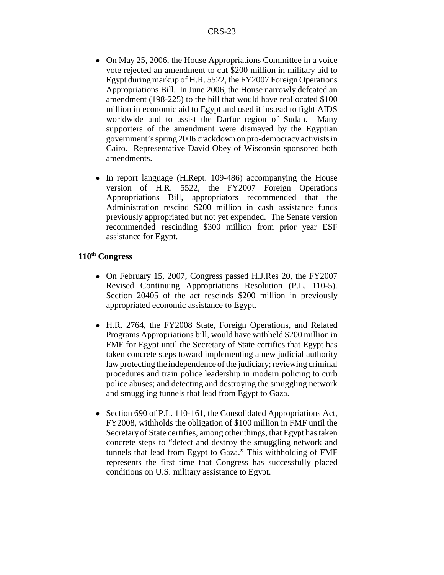- On May 25, 2006, the House Appropriations Committee in a voice vote rejected an amendment to cut \$200 million in military aid to Egypt during markup of H.R. 5522, the FY2007 Foreign Operations Appropriations Bill. In June 2006, the House narrowly defeated an amendment (198-225) to the bill that would have reallocated \$100 million in economic aid to Egypt and used it instead to fight AIDS worldwide and to assist the Darfur region of Sudan. Many supporters of the amendment were dismayed by the Egyptian government's spring 2006 crackdown on pro-democracy activists in Cairo. Representative David Obey of Wisconsin sponsored both amendments.
- In report language (H.Rept. 109-486) accompanying the House version of H.R. 5522, the FY2007 Foreign Operations Appropriations Bill, appropriators recommended that the Administration rescind \$200 million in cash assistance funds previously appropriated but not yet expended. The Senate version recommended rescinding \$300 million from prior year ESF assistance for Egypt.

#### **110th Congress**

- On February 15, 2007, Congress passed H.J.Res 20, the FY2007 Revised Continuing Appropriations Resolution (P.L. 110-5). Section 20405 of the act rescinds \$200 million in previously appropriated economic assistance to Egypt.
- ! H.R. 2764, the FY2008 State, Foreign Operations, and Related Programs Appropriations bill, would have withheld \$200 million in FMF for Egypt until the Secretary of State certifies that Egypt has taken concrete steps toward implementing a new judicial authority law protecting the independence of the judiciary; reviewing criminal procedures and train police leadership in modern policing to curb police abuses; and detecting and destroying the smuggling network and smuggling tunnels that lead from Egypt to Gaza.
- Section 690 of P.L. 110-161, the Consolidated Appropriations Act, FY2008, withholds the obligation of \$100 million in FMF until the Secretary of State certifies, among other things, that Egypt has taken concrete steps to "detect and destroy the smuggling network and tunnels that lead from Egypt to Gaza." This withholding of FMF represents the first time that Congress has successfully placed conditions on U.S. military assistance to Egypt.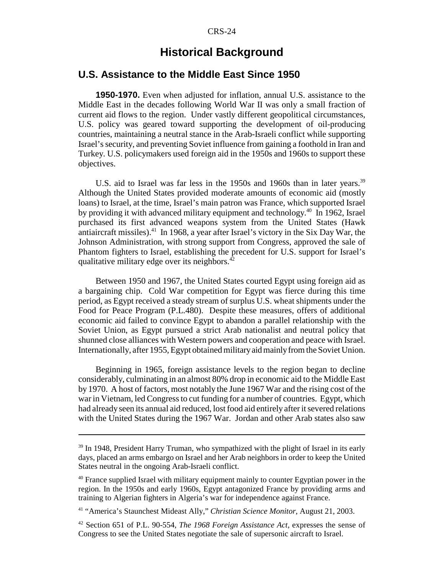## **Historical Background**

#### **U.S. Assistance to the Middle East Since 1950**

**1950-1970.** Even when adjusted for inflation, annual U.S. assistance to the Middle East in the decades following World War II was only a small fraction of current aid flows to the region. Under vastly different geopolitical circumstances, U.S. policy was geared toward supporting the development of oil-producing countries, maintaining a neutral stance in the Arab-Israeli conflict while supporting Israel's security, and preventing Soviet influence from gaining a foothold in Iran and Turkey. U.S. policymakers used foreign aid in the 1950s and 1960s to support these objectives.

U.S. aid to Israel was far less in the 1950s and 1960s than in later years.<sup>39</sup> Although the United States provided moderate amounts of economic aid (mostly loans) to Israel, at the time, Israel's main patron was France, which supported Israel by providing it with advanced military equipment and technology.40 In 1962, Israel purchased its first advanced weapons system from the United States (Hawk antiaircraft missiles). $41$  In 1968, a year after Israel's victory in the Six Day War, the Johnson Administration, with strong support from Congress, approved the sale of Phantom fighters to Israel, establishing the precedent for U.S. support for Israel's qualitative military edge over its neighbors.<sup>42</sup>

Between 1950 and 1967, the United States courted Egypt using foreign aid as a bargaining chip. Cold War competition for Egypt was fierce during this time period, as Egypt received a steady stream of surplus U.S. wheat shipments under the Food for Peace Program (P.L.480). Despite these measures, offers of additional economic aid failed to convince Egypt to abandon a parallel relationship with the Soviet Union, as Egypt pursued a strict Arab nationalist and neutral policy that shunned close alliances with Western powers and cooperation and peace with Israel. Internationally, after 1955, Egypt obtained military aid mainly from the Soviet Union.

Beginning in 1965, foreign assistance levels to the region began to decline considerably, culminating in an almost 80% drop in economic aid to the Middle East by 1970. A host of factors, most notably the June 1967 War and the rising cost of the war in Vietnam, led Congress to cut funding for a number of countries. Egypt, which had already seen its annual aid reduced, lost food aid entirely after it severed relations with the United States during the 1967 War. Jordan and other Arab states also saw

<sup>&</sup>lt;sup>39</sup> In 1948. President Harry Truman, who sympathized with the plight of Israel in its early days, placed an arms embargo on Israel and her Arab neighbors in order to keep the United States neutral in the ongoing Arab-Israeli conflict.

<sup>&</sup>lt;sup>40</sup> France supplied Israel with military equipment mainly to counter Egyptian power in the region. In the 1950s and early 1960s, Egypt antagonized France by providing arms and training to Algerian fighters in Algeria's war for independence against France.

<sup>41 &</sup>quot;America's Staunchest Mideast Ally," *Christian Science Monitor*, August 21, 2003.

<sup>42</sup> Section 651 of P.L. 90-554, *The 1968 Foreign Assistance Act*, expresses the sense of Congress to see the United States negotiate the sale of supersonic aircraft to Israel.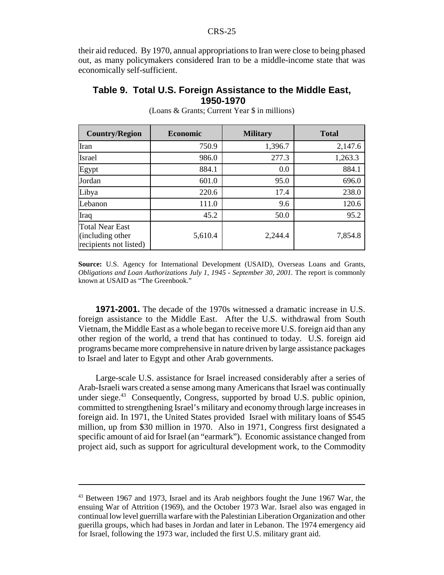their aid reduced. By 1970, annual appropriations to Iran were close to being phased out, as many policymakers considered Iran to be a middle-income state that was economically self-sufficient.

#### **Table 9. Total U.S. Foreign Assistance to the Middle East, 1950-1970**

| <b>Country/Region</b>                                                | <b>Economic</b> | <b>Military</b> | <b>Total</b> |
|----------------------------------------------------------------------|-----------------|-----------------|--------------|
| Iran                                                                 | 750.9           | 1,396.7         | 2,147.6      |
| Israel                                                               | 986.0           | 277.3           | 1,263.3      |
| Egypt                                                                | 884.1           | 0.0             | 884.1        |
| Jordan                                                               | 601.0           | 95.0            | 696.0        |
| Libya                                                                | 220.6           | 17.4            | 238.0        |
| Lebanon                                                              | 111.0           | 9.6             | 120.6        |
| Iraq                                                                 | 45.2            | 50.0            | 95.2         |
| <b>Total Near East</b><br>(including other<br>recipients not listed) | 5,610.4         | 2,244.4         | 7,854.8      |

(Loans & Grants; Current Year \$ in millions)

**Source:** U.S. Agency for International Development (USAID), Overseas Loans and Grants, *Obligations and Loan Authorizations July 1, 1945 - September 30, 2001.* The report is commonly known at USAID as "The Greenbook."

**1971-2001.** The decade of the 1970s witnessed a dramatic increase in U.S. foreign assistance to the Middle East. After the U.S. withdrawal from South Vietnam, the Middle East as a whole began to receive more U.S. foreign aid than any other region of the world, a trend that has continued to today. U.S. foreign aid programs became more comprehensive in nature driven by large assistance packages to Israel and later to Egypt and other Arab governments.

Large-scale U.S. assistance for Israel increased considerably after a series of Arab-Israeli wars created a sense among many Americans that Israel was continually under siege. $43$  Consequently, Congress, supported by broad U.S. public opinion, committed to strengthening Israel's military and economy through large increases in foreign aid. In 1971, the United States provided Israel with military loans of \$545 million, up from \$30 million in 1970. Also in 1971, Congress first designated a specific amount of aid for Israel (an "earmark"). Economic assistance changed from project aid, such as support for agricultural development work, to the Commodity

<sup>&</sup>lt;sup>43</sup> Between 1967 and 1973, Israel and its Arab neighbors fought the June 1967 War, the ensuing War of Attrition (1969), and the October 1973 War. Israel also was engaged in continual low level guerrilla warfare with the Palestinian Liberation Organization and other guerilla groups, which had bases in Jordan and later in Lebanon. The 1974 emergency aid for Israel, following the 1973 war, included the first U.S. military grant aid.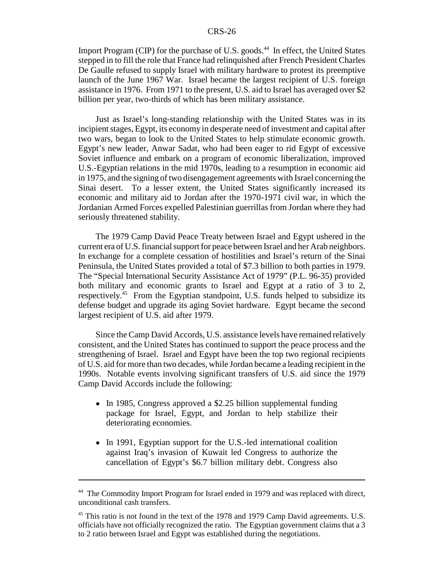Import Program (CIP) for the purchase of U.S. goods.<sup>44</sup> In effect, the United States stepped in to fill the role that France had relinquished after French President Charles De Gaulle refused to supply Israel with military hardware to protest its preemptive launch of the June 1967 War. Israel became the largest recipient of U.S. foreign assistance in 1976. From 1971 to the present, U.S. aid to Israel has averaged over \$2 billion per year, two-thirds of which has been military assistance.

Just as Israel's long-standing relationship with the United States was in its incipient stages, Egypt, its economy in desperate need of investment and capital after two wars, began to look to the United States to help stimulate economic growth. Egypt's new leader, Anwar Sadat, who had been eager to rid Egypt of excessive Soviet influence and embark on a program of economic liberalization, improved U.S.-Egyptian relations in the mid 1970s, leading to a resumption in economic aid in 1975, and the signing of two disengagement agreements with Israel concerning the Sinai desert. To a lesser extent, the United States significantly increased its economic and military aid to Jordan after the 1970-1971 civil war, in which the Jordanian Armed Forces expelled Palestinian guerrillas from Jordan where they had seriously threatened stability.

The 1979 Camp David Peace Treaty between Israel and Egypt ushered in the current era of U.S. financial support for peace between Israel and her Arab neighbors. In exchange for a complete cessation of hostilities and Israel's return of the Sinai Peninsula, the United States provided a total of \$7.3 billion to both parties in 1979. The "Special International Security Assistance Act of 1979" (P.L. 96-35) provided both military and economic grants to Israel and Egypt at a ratio of 3 to 2, respectively.45 From the Egyptian standpoint, U.S. funds helped to subsidize its defense budget and upgrade its aging Soviet hardware. Egypt became the second largest recipient of U.S. aid after 1979.

Since the Camp David Accords, U.S. assistance levels have remained relatively consistent, and the United States has continued to support the peace process and the strengthening of Israel. Israel and Egypt have been the top two regional recipients of U.S. aid for more than two decades, while Jordan became a leading recipient in the 1990s. Notable events involving significant transfers of U.S. aid since the 1979 Camp David Accords include the following:

- In 1985, Congress approved a \$2.25 billion supplemental funding package for Israel, Egypt, and Jordan to help stabilize their deteriorating economies.
- In 1991, Egyptian support for the U.S.-led international coalition against Iraq's invasion of Kuwait led Congress to authorize the cancellation of Egypt's \$6.7 billion military debt. Congress also

<sup>44</sup> The Commodity Import Program for Israel ended in 1979 and was replaced with direct, unconditional cash transfers.

<sup>&</sup>lt;sup>45</sup> This ratio is not found in the text of the 1978 and 1979 Camp David agreements. U.S. officials have not officially recognized the ratio. The Egyptian government claims that a 3 to 2 ratio between Israel and Egypt was established during the negotiations.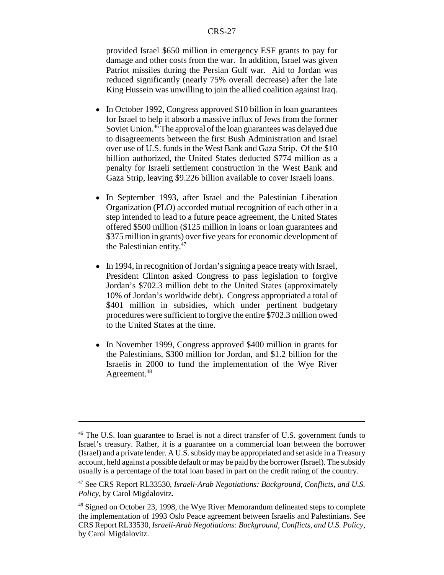#### CRS-27

provided Israel \$650 million in emergency ESF grants to pay for damage and other costs from the war. In addition, Israel was given Patriot missiles during the Persian Gulf war. Aid to Jordan was reduced significantly (nearly 75% overall decrease) after the late King Hussein was unwilling to join the allied coalition against Iraq.

- ! In October 1992, Congress approved \$10 billion in loan guarantees for Israel to help it absorb a massive influx of Jews from the former Soviet Union.<sup>46</sup> The approval of the loan guarantees was delayed due to disagreements between the first Bush Administration and Israel over use of U.S. funds in the West Bank and Gaza Strip. Of the \$10 billion authorized, the United States deducted \$774 million as a penalty for Israeli settlement construction in the West Bank and Gaza Strip, leaving \$9.226 billion available to cover Israeli loans.
- In September 1993, after Israel and the Palestinian Liberation Organization (PLO) accorded mutual recognition of each other in a step intended to lead to a future peace agreement, the United States offered \$500 million (\$125 million in loans or loan guarantees and \$375 million in grants) over five years for economic development of the Palestinian entity.<sup>47</sup>
- In 1994, in recognition of Jordan's signing a peace treaty with Israel, President Clinton asked Congress to pass legislation to forgive Jordan's \$702.3 million debt to the United States (approximately 10% of Jordan's worldwide debt). Congress appropriated a total of \$401 million in subsidies, which under pertinent budgetary procedures were sufficient to forgive the entire \$702.3 million owed to the United States at the time.
- In November 1999, Congress approved \$400 million in grants for the Palestinians, \$300 million for Jordan, and \$1.2 billion for the Israelis in 2000 to fund the implementation of the Wye River Agreement.<sup>48</sup>

<sup>&</sup>lt;sup>46</sup> The U.S. loan guarantee to Israel is not a direct transfer of U.S. government funds to Israel's treasury. Rather, it is a guarantee on a commercial loan between the borrower (Israel) and a private lender. A U.S. subsidy may be appropriated and set aside in a Treasury account, held against a possible default or may be paid by the borrower (Israel). The subsidy usually is a percentage of the total loan based in part on the credit rating of the country.

<sup>47</sup> See CRS Report RL33530, *Israeli-Arab Negotiations: Background, Conflicts, and U.S. Policy*, by Carol Migdalovitz.

<sup>&</sup>lt;sup>48</sup> Signed on October 23, 1998, the Wye River Memorandum delineated steps to complete the implementation of 1993 Oslo Peace agreement between Israelis and Palestinians. See CRS Report RL33530, *Israeli-Arab Negotiations: Background, Conflicts, and U.S. Policy*, by Carol Migdalovitz.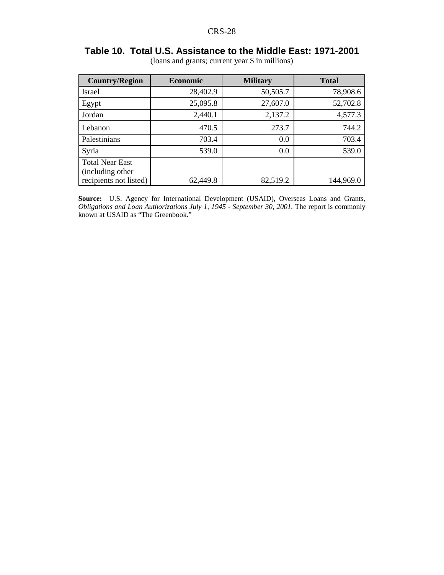(loans and grants; current year \$ in millions)

| <b>Country/Region</b>                                                 | <b>Economic</b> | <b>Military</b> | <b>Total</b> |
|-----------------------------------------------------------------------|-----------------|-----------------|--------------|
| Israel                                                                | 28,402.9        | 50,505.7        | 78,908.6     |
| Egypt                                                                 | 25,095.8        | 27,607.0        | 52,702.8     |
| Jordan                                                                | 2,440.1         | 2,137.2         | 4,577.3      |
| Lebanon                                                               | 470.5           | 273.7           | 744.2        |
| Palestinians                                                          | 703.4           | 0.0             | 703.4        |
| Syria                                                                 | 539.0           | 0.0             | 539.0        |
| <b>Total Near East</b><br>(including other)<br>recipients not listed) | 62,449.8        | 82,519.2        | 144,969.0    |

**Source:** U.S. Agency for International Development (USAID), Overseas Loans and Grants, *Obligations and Loan Authorizations July 1, 1945 - September 30, 2001.* The report is commonly known at USAID as "The Greenbook."